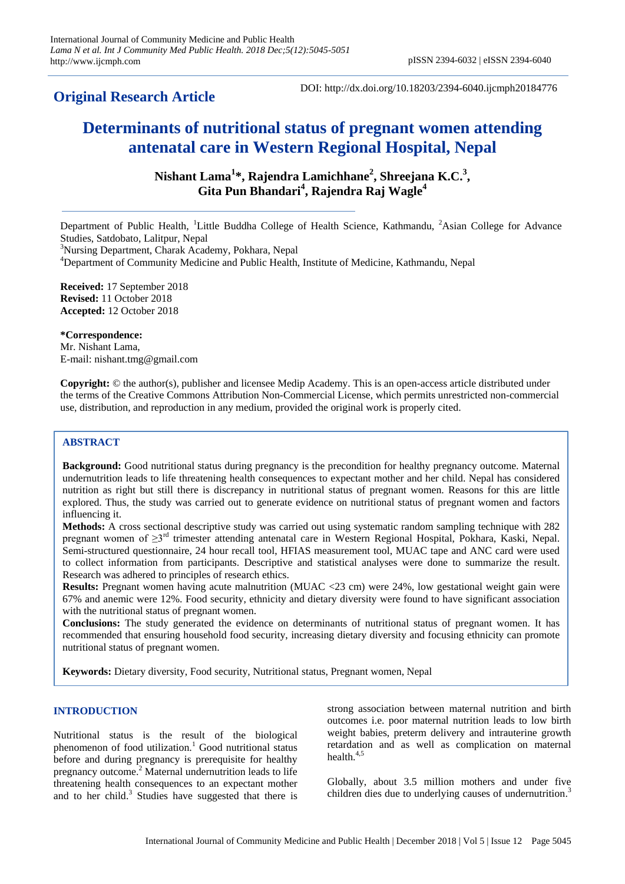## **Original Research Article**

DOI: http://dx.doi.org/10.18203/2394-6040.ijcmph20184776

# **Determinants of nutritional status of pregnant women attending antenatal care in Western Regional Hospital, Nepal**

**Nishant Lama<sup>1</sup> \*, Rajendra Lamichhane<sup>2</sup> , Shreejana K.C.<sup>3</sup> , Gita Pun Bhandari<sup>4</sup> , Rajendra Raj Wagle<sup>4</sup>**

Department of Public Health, <sup>1</sup>Little Buddha College of Health Science, Kathmandu, <sup>2</sup>Asian College for Advance Studies, Satdobato, Lalitpur, Nepal

<sup>3</sup>Nursing Department, Charak Academy, Pokhara, Nepal

<sup>4</sup>Department of Community Medicine and Public Health, Institute of Medicine, Kathmandu, Nepal

**Received:** 17 September 2018 **Revised:** 11 October 2018 **Accepted:** 12 October 2018

**\*Correspondence:** Mr. Nishant Lama, E-mail: nishant.tmg@gmail.com

**Copyright:** © the author(s), publisher and licensee Medip Academy. This is an open-access article distributed under the terms of the Creative Commons Attribution Non-Commercial License, which permits unrestricted non-commercial use, distribution, and reproduction in any medium, provided the original work is properly cited.

## **ABSTRACT**

**Background:** Good nutritional status during pregnancy is the precondition for healthy pregnancy outcome. Maternal undernutrition leads to life threatening health consequences to expectant mother and her child. Nepal has considered nutrition as right but still there is discrepancy in nutritional status of pregnant women. Reasons for this are little explored. Thus, the study was carried out to generate evidence on nutritional status of pregnant women and factors influencing it.

**Methods:** A cross sectional descriptive study was carried out using systematic random sampling technique with 282 pregnant women of  $\geq 3^{rd}$  trimester attending antenatal care in Western Regional Hospital, Pokhara, Kaski, Nepal. Semi-structured questionnaire, 24 hour recall tool, HFIAS measurement tool, MUAC tape and ANC card were used to collect information from participants. Descriptive and statistical analyses were done to summarize the result. Research was adhered to principles of research ethics.

**Results:** Pregnant women having acute malnutrition (MUAC <23 cm) were 24%, low gestational weight gain were 67% and anemic were 12%. Food security, ethnicity and dietary diversity were found to have significant association with the nutritional status of pregnant women.

**Conclusions:** The study generated the evidence on determinants of nutritional status of pregnant women. It has recommended that ensuring household food security, increasing dietary diversity and focusing ethnicity can promote nutritional status of pregnant women.

**Keywords:** Dietary diversity, Food security, Nutritional status, Pregnant women, Nepal

## **INTRODUCTION**

Nutritional status is the result of the biological phenomenon of food utilization.<sup>1</sup> Good nutritional status before and during pregnancy is prerequisite for healthy pregnancy outcome.<sup>2</sup> Maternal undernutrition leads to life threatening health consequences to an expectant mother and to her child. 3 Studies have suggested that there is strong association between maternal nutrition and birth outcomes i.e. poor maternal nutrition leads to low birth weight babies, preterm delivery and intrauterine growth retardation and as well as complication on maternal health. 4,5

Globally, about 3.5 million mothers and under five children dies due to underlying causes of undernutrition.<sup>3</sup>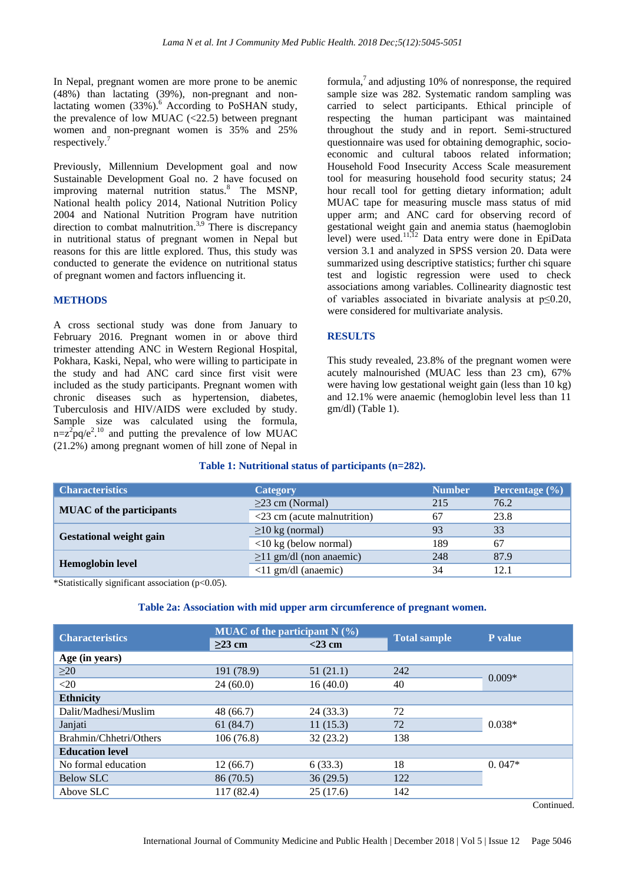In Nepal, pregnant women are more prone to be anemic (48%) than lactating (39%), non-pregnant and nonlactating women (33%). <sup>6</sup> According to PoSHAN study, the prevalence of low MUAC  $\langle$  <22.5) between pregnant women and non-pregnant women is 35% and 25% respectively.<sup>7</sup>

Previously, Millennium Development goal and now Sustainable Development Goal no. 2 have focused on improving maternal nutrition status.<sup>8</sup> The MSNP, National health policy 2014, National Nutrition Policy 2004 and National Nutrition Program have nutrition direction to combat malnutrition.<sup>3,9</sup> There is discrepancy in nutritional status of pregnant women in Nepal but reasons for this are little explored. Thus, this study was conducted to generate the evidence on nutritional status of pregnant women and factors influencing it.

## **METHODS**

A cross sectional study was done from January to February 2016. Pregnant women in or above third trimester attending ANC in Western Regional Hospital, Pokhara, Kaski, Nepal, who were willing to participate in the study and had ANC card since first visit were included as the study participants. Pregnant women with chronic diseases such as hypertension, diabetes, Tuberculosis and HIV/AIDS were excluded by study. Sample size was calculated using the formula,  $n = z^2 pq/e^2$ <sup>10</sup> and putting the prevalence of low MUAC (21.2%) among pregnant women of hill zone of Nepal in

formula, $<sup>7</sup>$  and adjusting 10% of nonresponse, the required</sup> sample size was 282. Systematic random sampling was carried to select participants. Ethical principle of respecting the human participant was maintained throughout the study and in report. Semi-structured questionnaire was used for obtaining demographic, socioeconomic and cultural taboos related information; Household Food Insecurity Access Scale measurement tool for measuring household food security status; 24 hour recall tool for getting dietary information; adult MUAC tape for measuring muscle mass status of mid upper arm; and ANC card for observing record of gestational weight gain and anemia status (haemoglobin level) were used.11,12 Data entry were done in EpiData version 3.1 and analyzed in SPSS version 20. Data were summarized using descriptive statistics; further chi square test and logistic regression were used to check associations among variables. Collinearity diagnostic test of variables associated in bivariate analysis at p≤0.20, were considered for multivariate analysis.

## **RESULTS**

This study revealed, 23.8% of the pregnant women were acutely malnourished (MUAC less than 23 cm), 67% were having low gestational weight gain (less than 10 kg) and 12.1% were anaemic (hemoglobin level less than 11 gm/dl) (Table 1).

#### **Table 1: Nutritional status of participants (n=282).**

| <b>Characteristics</b>          | Category                               | <b>Number</b> | Percentage $(\% )$ |
|---------------------------------|----------------------------------------|---------------|--------------------|
|                                 | $\geq$ 23 cm (Normal)                  | 215           | 76.2               |
| <b>MUAC</b> of the participants | $<$ 23 cm (acute malnutrition)         | 67            | 23.8               |
|                                 | $\geq$ 10 kg (normal)                  | 93            | 33                 |
| <b>Gestational weight gain</b>  | $\langle 10 \text{ kg}$ (below normal) | 189           | 67                 |
|                                 | $\geq$ 11 gm/dl (non anaemic)          | 248           | 87.9               |
| <b>Hemoglobin level</b>         | $\langle 11 \text{ gm/dl}$ (anaemic)   | 34            | 12.1               |

\*Statistically significant association (p<0.05).

## **Table 2a: Association with mid upper arm circumference of pregnant women.**

| <b>Characteristics</b> | MUAC of the participant $N$ (%) |           |                     |          |
|------------------------|---------------------------------|-----------|---------------------|----------|
|                        | $>23$ cm                        | $<$ 23 cm | <b>Total sample</b> | P value  |
| Age (in years)         |                                 |           |                     |          |
| $\geq$ 20              | 191 (78.9)                      | 51(21.1)  | 242                 | $0.009*$ |
| $<$ 20                 | 24(60.0)                        | 16(40.0)  | 40                  |          |
| <b>Ethnicity</b>       |                                 |           |                     |          |
| Dalit/Madhesi/Muslim   | 48 (66.7)                       | 24(33.3)  | 72                  |          |
| Janjati                | 61 (84.7)                       | 11(15.3)  | 72                  | $0.038*$ |
| Brahmin/Chhetri/Others | 106(76.8)                       | 32(23.2)  | 138                 |          |
| <b>Education level</b> |                                 |           |                     |          |
| No formal education    | 12(66.7)                        | 6(33.3)   | 18                  | $0.047*$ |
| <b>Below SLC</b>       | 86 (70.5)                       | 36(29.5)  | 122                 |          |
| Above SLC              | 117 (82.4)                      | 25(17.6)  | 142                 |          |

Continued.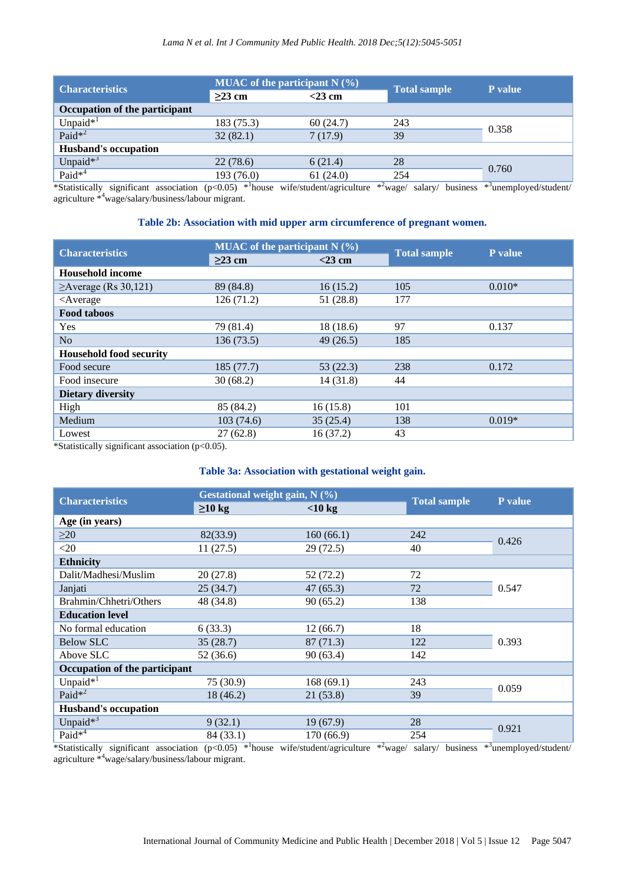|                                            | MUAC of the participant $N$ (%) |           |                     |                |
|--------------------------------------------|---------------------------------|-----------|---------------------|----------------|
| <b>Characteristics</b>                     | $>23$ cm                        | $<$ 23 cm | <b>Total sample</b> | <b>P</b> value |
| Occupation of the participant              |                                 |           |                     |                |
| Unpaid $*^1$                               | 183 (75.3)                      | 60(24.7)  | 243                 | 0.358          |
| $\overline{\text{Paid}^{*2}}$              | 32(82.1)                        | 7(17.9)   | 39                  |                |
| <b>Husband's occupation</b>                |                                 |           |                     |                |
| Unpaid* <sup>3</sup><br>Paid* <sup>4</sup> | 22(78.6)                        | 6(21.4)   | 28                  | 0.760          |
|                                            | 193 (76.0)                      | 61(24.0)  | 254                 |                |

\*Statistically significant association (p<0.05) \*1house wife/student/agriculture \*2wage/ salary/ business \*3unemployed/student/ agriculture \*<sup>4</sup>wage/salary/business/labour migrant.

## **Table 2b: Association with mid upper arm circumference of pregnant women.**

| <b>Characteristics</b>         | MUAC of the participant $N$ (%) |           | <b>Total sample</b> | P value  |
|--------------------------------|---------------------------------|-----------|---------------------|----------|
|                                | $>23$ cm                        | $<$ 23 cm |                     |          |
| Household income               |                                 |           |                     |          |
| $\geq$ Average (Rs 30,121)     | 89 (84.8)                       | 16(15.2)  | 105                 | $0.010*$ |
| $\langle$ Average              | 126(71.2)                       | 51 (28.8) | 177                 |          |
| <b>Food taboos</b>             |                                 |           |                     |          |
| Yes                            | 79 (81.4)                       | 18(18.6)  | 97                  | 0.137    |
| N <sub>o</sub>                 | 136(73.5)                       | 49(26.5)  | 185                 |          |
| <b>Household food security</b> |                                 |           |                     |          |
| Food secure                    | 185(77.7)                       | 53(22.3)  | 238                 | 0.172    |
| Food insecure                  | 30(68.2)                        | 14(31.8)  | 44                  |          |
| <b>Dietary diversity</b>       |                                 |           |                     |          |
| High                           | 85 (84.2)                       | 16(15.8)  | 101                 |          |
| Medium                         | 103(74.6)                       | 35(25.4)  | 138                 | $0.019*$ |
| Lowest                         | 27(62.8)                        | 16(37.2)  | 43                  |          |

\*Statistically significant association (p<0.05).

## **Table 3a: Association with gestational weight gain.**

| <b>Characteristics</b>        | Gestational weight gain, $N$ (%) |           | <b>Total sample</b> |         |
|-------------------------------|----------------------------------|-----------|---------------------|---------|
|                               | $\geq$ 10 kg                     | $<$ 10 kg |                     | P value |
| Age (in years)                |                                  |           |                     |         |
| $\geq$ 20                     | 82(33.9)                         | 160(66.1) | 242                 | 0.426   |
| $<$ 20                        | 11(27.5)                         | 29(72.5)  | 40                  |         |
| <b>Ethnicity</b>              |                                  |           |                     |         |
| Dalit/Madhesi/Muslim          | 20(27.8)                         | 52 (72.2) | 72                  |         |
| Janjati                       | 25(34.7)                         | 47(65.3)  | 72                  | 0.547   |
| Brahmin/Chhetri/Others        | 48 (34.8)                        | 90(65.2)  | 138                 |         |
| <b>Education level</b>        |                                  |           |                     |         |
| No formal education           | 6(33.3)                          | 12(66.7)  | 18                  |         |
| <b>Below SLC</b>              | 35(28.7)                         | 87(71.3)  | 122                 | 0.393   |
| Above SLC                     | 52 (36.6)                        | 90(63.4)  | 142                 |         |
| Occupation of the participant |                                  |           |                     |         |
| Unpaid $*^1$                  | 75 (30.9)                        | 168(69.1) | 243                 |         |
| Paid* $2$                     | 18 (46.2)                        | 21(53.8)  | 39                  | 0.059   |
| <b>Husband's occupation</b>   |                                  |           |                     |         |
| Unpaid $*$ <sup>3</sup>       | 9(32.1)                          | 19(67.9)  | 28                  |         |
| Paid $*^4$                    | 84 (33.1)                        | 170(66.9) | 254                 | 0.921   |

\*Statistically significant association (p<0.05) \*<sup>1</sup>house wife/student/agriculture \*<sup>2</sup>wage/ salary/ business \*<sup>3</sup>unemployed/student/ agriculture \*<sup>4</sup>wage/salary/business/labour migrant.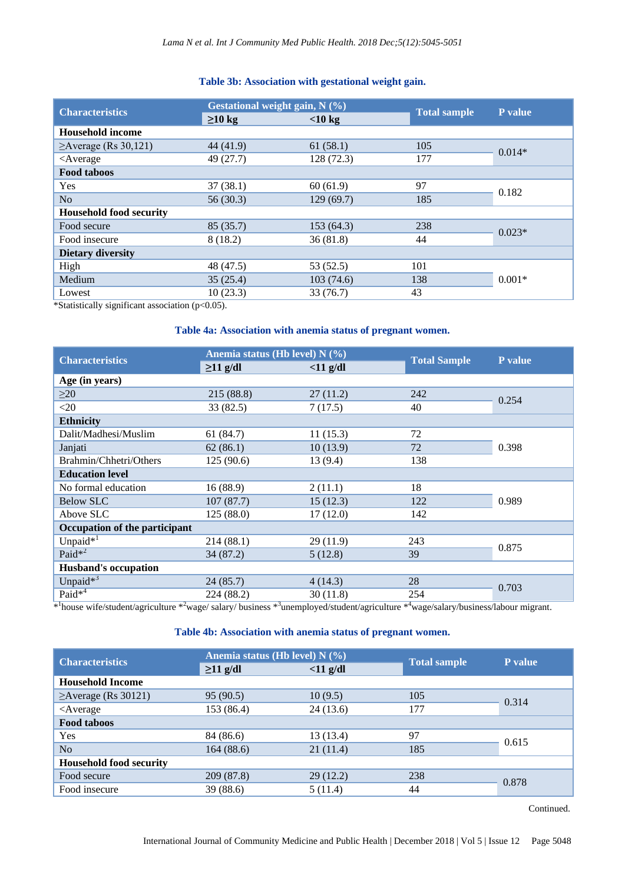## **Table 3b: Association with gestational weight gain.**

| <b>Characteristics</b>         | Gestational weight gain, $N$ (%) |            |                     |          |
|--------------------------------|----------------------------------|------------|---------------------|----------|
|                                | $\geq$ 10 kg                     | $<$ 10 kg  | <b>Total sample</b> | P value  |
| <b>Household income</b>        |                                  |            |                     |          |
| $\geq$ Average (Rs 30,121)     | 44 (41.9)                        | 61(58.1)   | 105                 | $0.014*$ |
| $\langle$ Average              | 49 (27.7)                        | 128 (72.3) | 177                 |          |
| <b>Food taboos</b>             |                                  |            |                     |          |
| Yes                            | 37(38.1)                         | 60(61.9)   | 97                  |          |
| No                             | 56(30.3)                         | 129(69.7)  | 185                 | 0.182    |
| <b>Household food security</b> |                                  |            |                     |          |
| Food secure                    | 85(35.7)                         | 153(64.3)  | 238                 | $0.023*$ |
| Food insecure                  | 8(18.2)                          | 36(81.8)   | 44                  |          |
| <b>Dietary diversity</b>       |                                  |            |                     |          |
| High                           | 48 (47.5)                        | 53 (52.5)  | 101                 |          |
| Medium                         | 35(25.4)                         | 103(74.6)  | 138                 | $0.001*$ |
| Lowest                         | 10(23.3)                         | 33 (76.7)  | 43                  |          |

\*Statistically significant association (p<0.05).

## **Table 4a: Association with anemia status of pregnant women.**

|                               | Anemia status ( $\overline{Hb}$ level) N $(%)$ |             |                               |         |
|-------------------------------|------------------------------------------------|-------------|-------------------------------|---------|
| <b>Characteristics</b>        | $\geq$ 11 g/dl                                 | $<$ 11 g/dl | <b>Total Sample</b>           | P value |
| Age (in years)                |                                                |             |                               |         |
| $\geq$ 20                     | 215 (88.8)                                     | 27(11.2)    | 242                           | 0.254   |
| $<$ 20                        | 33(82.5)                                       | 7(17.5)     | 40                            |         |
| <b>Ethnicity</b>              |                                                |             |                               |         |
| Dalit/Madhesi/Muslim          | 61 (84.7)                                      | 11(15.3)    | 72                            |         |
| Janjati                       | 62(86.1)                                       | 10(13.9)    | 72                            | 0.398   |
| Brahmin/Chhetri/Others        | 125 (90.6)                                     | 13(9.4)     | 138                           |         |
| <b>Education level</b>        |                                                |             |                               |         |
| No formal education           | 16(88.9)                                       | 2(11.1)     | 18                            |         |
| <b>Below SLC</b>              | 107(87.7)                                      | 15(12.3)    | 122                           | 0.989   |
| Above SLC                     | 125 (88.0)                                     | 17(12.0)    | 142                           |         |
| Occupation of the participant |                                                |             |                               |         |
| Unpaid $\overline{A^{*}}$     | 214(88.1)                                      | 29 (11.9)   | 243                           |         |
| Paid <sup>*2</sup>            | 34 (87.2)                                      | 5(12.8)     | 39                            | 0.875   |
| <b>Husband's occupation</b>   |                                                |             |                               |         |
| Unpaid $*^3$                  | 24(85.7)                                       | 4(14.3)     | 28                            |         |
| $Paid*4$                      | 224 (88.2)<br>$\overline{13}$                  | 30(11.8)    | 254<br>$\cdot$ $\overline{4}$ | 0.703   |

\*<sup>1</sup>house wife/student/agriculture \*<sup>2</sup>wage/ salary/ business \*<sup>3</sup>unemployed/student/agriculture \*<sup>4</sup>wage/salary/business/labour migrant.

## **Table 4b: Association with anemia status of pregnant women.**

| <b>Characteristics</b>         | Anemia status (Hb level) N (%) |             | <b>Total sample</b> | <b>P</b> value |
|--------------------------------|--------------------------------|-------------|---------------------|----------------|
|                                | $\geq$ 11 g/dl                 | $<$ 11 g/dl |                     |                |
| <b>Household Income</b>        |                                |             |                     |                |
| $\geq$ Average (Rs 30121)      | 95(90.5)                       | 10(9.5)     | 105                 | 0.314          |
| $\triangle$ Average            | 153 (86.4)                     | 24(13.6)    | 177                 |                |
| <b>Food taboos</b>             |                                |             |                     |                |
| Yes                            | 84 (86.6)                      | 13 (13.4)   | 97                  |                |
| N <sub>o</sub>                 | 164 (88.6)                     | 21(11.4)    | 185                 | 0.615          |
| <b>Household food security</b> |                                |             |                     |                |
| Food secure                    | 209(87.8)                      | 29(12.2)    | 238                 | 0.878          |
| Food insecure                  | 39 (88.6)                      | 5(11.4)     | 44                  |                |

Continued.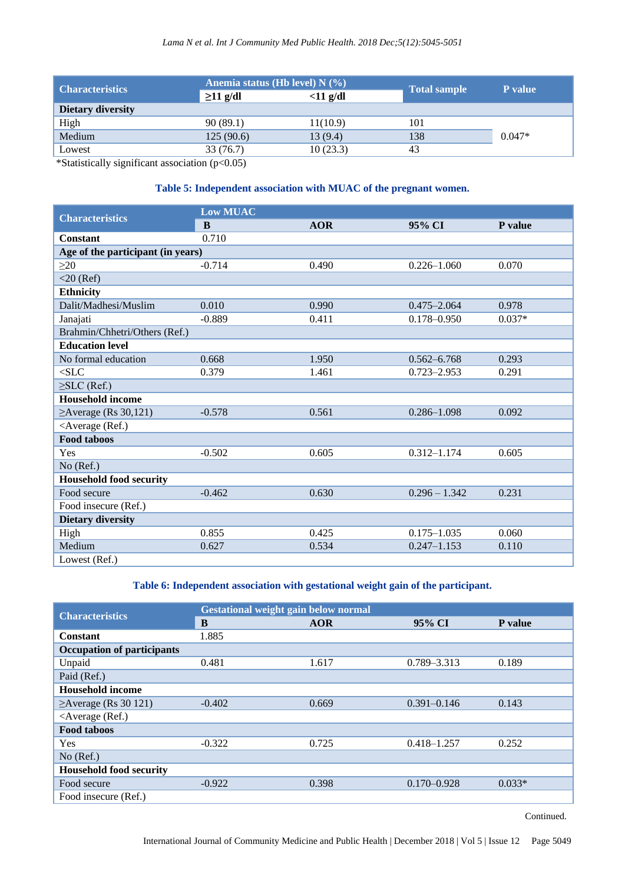| <b>Characteristics</b>   | Anemia status (Hb level) $N$ (%) |             | <b>P</b> value<br><b>Total sample</b> |          |
|--------------------------|----------------------------------|-------------|---------------------------------------|----------|
|                          | $\geq$ 11 g/dl                   | $<$ 11 g/dl |                                       |          |
| <b>Dietary diversity</b> |                                  |             |                                       |          |
| High                     | 90(89.1)                         | 11(10.9)    | 101                                   |          |
| Medium                   | 125(90.6)                        | 13(9.4)     | 138                                   | $0.047*$ |
| Lowest                   | 33 (76.7)                        | 10(23.3)    | 43                                    |          |

\*Statistically significant association (p<0.05)

## **Table 5: Independent association with MUAC of the pregnant women.**

| <b>Characteristics</b>                                                   | <b>Low MUAC</b> |            |                 |          |  |
|--------------------------------------------------------------------------|-----------------|------------|-----------------|----------|--|
|                                                                          | B               | <b>AOR</b> | 95% CI          | P value  |  |
| <b>Constant</b>                                                          | 0.710           |            |                 |          |  |
| Age of the participant (in years)                                        |                 |            |                 |          |  |
| $\geq$ 20                                                                | $-0.714$        | 0.490      | $0.226 - 1.060$ | 0.070    |  |
| $<$ 20 (Ref)                                                             |                 |            |                 |          |  |
| <b>Ethnicity</b>                                                         |                 |            |                 |          |  |
| Dalit/Madhesi/Muslim                                                     | 0.010           | 0.990      | $0.475 - 2.064$ | 0.978    |  |
| Janajati                                                                 | $-0.889$        | 0.411      | $0.178 - 0.950$ | $0.037*$ |  |
| Brahmin/Chhetri/Others (Ref.)                                            |                 |            |                 |          |  |
| <b>Education level</b>                                                   |                 |            |                 |          |  |
| No formal education                                                      | 0.668           | 1.950      | $0.562 - 6.768$ | 0.293    |  |
| $<$ SLC                                                                  | 0.379           | 1.461      | $0.723 - 2.953$ | 0.291    |  |
| $\geq$ SLC (Ref.)                                                        |                 |            |                 |          |  |
| <b>Household income</b>                                                  |                 |            |                 |          |  |
| $\geq$ Average (Rs 30,121)                                               | $-0.578$        | 0.561      | $0.286 - 1.098$ | 0.092    |  |
| <average (ref.)<="" td=""><td></td><td></td><td></td><td></td></average> |                 |            |                 |          |  |
| <b>Food taboos</b>                                                       |                 |            |                 |          |  |
| Yes                                                                      | $-0.502$        | 0.605      | $0.312 - 1.174$ | 0.605    |  |
| No (Ref.)                                                                |                 |            |                 |          |  |
| <b>Household food security</b>                                           |                 |            |                 |          |  |
| Food secure                                                              | $-0.462$        | 0.630      | $0.296 - 1.342$ | 0.231    |  |
| Food insecure (Ref.)                                                     |                 |            |                 |          |  |
| <b>Dietary diversity</b>                                                 |                 |            |                 |          |  |
| High                                                                     | 0.855           | 0.425      | $0.175 - 1.035$ | 0.060    |  |
| Medium                                                                   | 0.627           | 0.534      | $0.247 - 1.153$ | 0.110    |  |
| Lowest (Ref.)                                                            |                 |            |                 |          |  |

## **Table 6: Independent association with gestational weight gain of the participant.**

|                                                                          | <b>Gestational weight gain below normal</b> |            |                 |                |  |
|--------------------------------------------------------------------------|---------------------------------------------|------------|-----------------|----------------|--|
| <b>Characteristics</b>                                                   | B                                           | <b>AOR</b> | 95% CI          | <b>P</b> value |  |
| <b>Constant</b>                                                          | 1.885                                       |            |                 |                |  |
| <b>Occupation of participants</b>                                        |                                             |            |                 |                |  |
| Unpaid                                                                   | 0.481                                       | 1.617      | 0.789-3.313     | 0.189          |  |
| Paid (Ref.)                                                              |                                             |            |                 |                |  |
| <b>Household income</b>                                                  |                                             |            |                 |                |  |
| $\geq$ Average (Rs 30 121)                                               | $-0.402$                                    | 0.669      | $0.391 - 0.146$ | 0.143          |  |
| <average (ref.)<="" td=""><td></td><td></td><td></td><td></td></average> |                                             |            |                 |                |  |
| <b>Food taboos</b>                                                       |                                             |            |                 |                |  |
| Yes                                                                      | $-0.322$                                    | 0.725      | $0.418 - 1.257$ | 0.252          |  |
| No (Ref.)                                                                |                                             |            |                 |                |  |
| <b>Household food security</b>                                           |                                             |            |                 |                |  |
| Food secure                                                              | $-0.922$                                    | 0.398      | $0.170 - 0.928$ | $0.033*$       |  |
| Food insecure (Ref.)                                                     |                                             |            |                 |                |  |

Continued.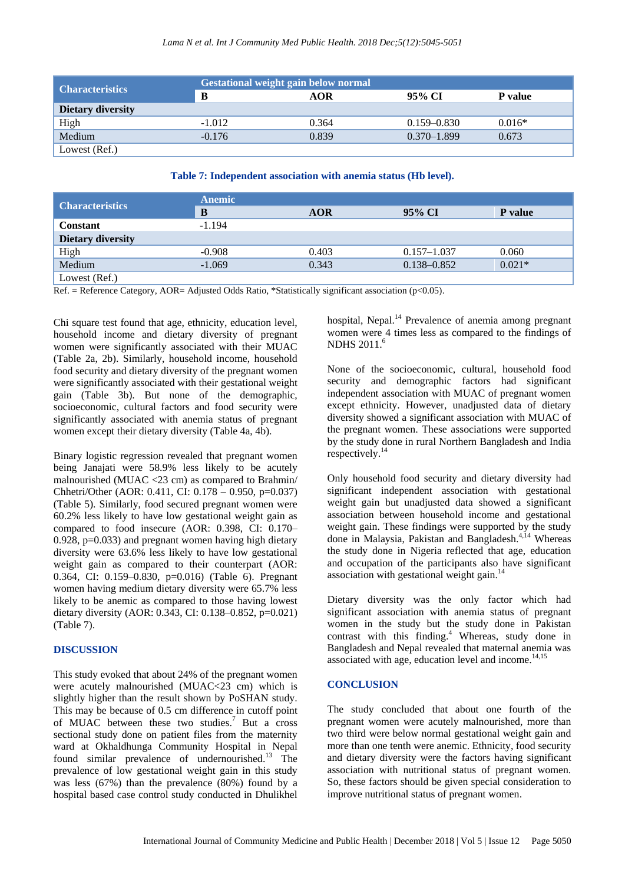|                          | <b>Gestational weight gain below normal</b> |            |                 |                |
|--------------------------|---------------------------------------------|------------|-----------------|----------------|
| <b>Characteristics</b>   | B                                           | <b>AOR</b> | 95% CI          | <b>P</b> value |
| <b>Dietary diversity</b> |                                             |            |                 |                |
| High                     | $-1.012$                                    | 0.364      | $0.159 - 0.830$ | $0.016*$       |
| Medium                   | $-0.176$                                    | 0.839      | $0.370 - 1.899$ | 0.673          |
| Lowest (Ref.)            |                                             |            |                 |                |

**Table 7: Independent association with anemia status (Hb level).**

| Characteristics          | <b>Anemic</b> |            |                 |                |
|--------------------------|---------------|------------|-----------------|----------------|
|                          | B             | <b>AOR</b> | 95% CI          | <b>P</b> value |
| <b>Constant</b>          | $-1.194$      |            |                 |                |
| <b>Dietary diversity</b> |               |            |                 |                |
| High                     | $-0.908$      | 0.403      | $0.157 - 1.037$ | 0.060          |
| Medium                   | $-1.069$      | 0.343      | $0.138 - 0.852$ | $0.021*$       |
| $I_{\text{ouport}}(Ref)$ |               |            |                 |                |

Lowest (Ref.)

Ref. = Reference Category, AOR= Adjusted Odds Ratio, \*Statistically significant association (p<0.05).

Chi square test found that age, ethnicity, education level, household income and dietary diversity of pregnant women were significantly associated with their MUAC (Table 2a, 2b). Similarly, household income, household food security and dietary diversity of the pregnant women were significantly associated with their gestational weight gain (Table 3b). But none of the demographic, socioeconomic, cultural factors and food security were significantly associated with anemia status of pregnant women except their dietary diversity (Table 4a, 4b).

Binary logistic regression revealed that pregnant women being Janajati were 58.9% less likely to be acutely malnourished (MUAC <23 cm) as compared to Brahmin/ Chhetri/Other (AOR: 0.411, CI: 0.178 – 0.950, p=0.037) (Table 5). Similarly, food secured pregnant women were 60.2% less likely to have low gestational weight gain as compared to food insecure (AOR: 0.398, CI: 0.170– 0.928, p=0.033) and pregnant women having high dietary diversity were 63.6% less likely to have low gestational weight gain as compared to their counterpart (AOR: 0.364, CI: 0.159–0.830, p=0.016) (Table 6). Pregnant women having medium dietary diversity were 65.7% less likely to be anemic as compared to those having lowest dietary diversity (AOR: 0.343, CI: 0.138–0.852, p=0.021) (Table 7).

#### **DISCUSSION**

This study evoked that about 24% of the pregnant women were acutely malnourished (MUAC<23 cm) which is slightly higher than the result shown by PoSHAN study. This may be because of 0.5 cm difference in cutoff point of MUAC between these two studies. <sup>7</sup> But a cross sectional study done on patient files from the maternity ward at Okhaldhunga Community Hospital in Nepal found similar prevalence of undernourished.<sup>13</sup> The prevalence of low gestational weight gain in this study was less (67%) than the prevalence (80%) found by a hospital based case control study conducted in Dhulikhel hospital, Nepal.<sup>14</sup> Prevalence of anemia among pregnant women were 4 times less as compared to the findings of NDHS 2011.<sup>6</sup>

None of the socioeconomic, cultural, household food security and demographic factors had significant independent association with MUAC of pregnant women except ethnicity. However, unadjusted data of dietary diversity showed a significant association with MUAC of the pregnant women. These associations were supported by the study done in rural Northern Bangladesh and India respectively.<sup>14</sup>

Only household food security and dietary diversity had significant independent association with gestational weight gain but unadjusted data showed a significant association between household income and gestational weight gain. These findings were supported by the study done in Malaysia, Pakistan and Bangladesh. 4,14 Whereas the study done in Nigeria reflected that age, education and occupation of the participants also have significant association with gestational weight gain. $14$ 

Dietary diversity was the only factor which had significant association with anemia status of pregnant women in the study but the study done in Pakistan contrast with this finding. <sup>4</sup> Whereas, study done in Bangladesh and Nepal revealed that maternal anemia was associated with age, education level and income. 14,15

## **CONCLUSION**

The study concluded that about one fourth of the pregnant women were acutely malnourished, more than two third were below normal gestational weight gain and more than one tenth were anemic. Ethnicity, food security and dietary diversity were the factors having significant association with nutritional status of pregnant women. So, these factors should be given special consideration to improve nutritional status of pregnant women.